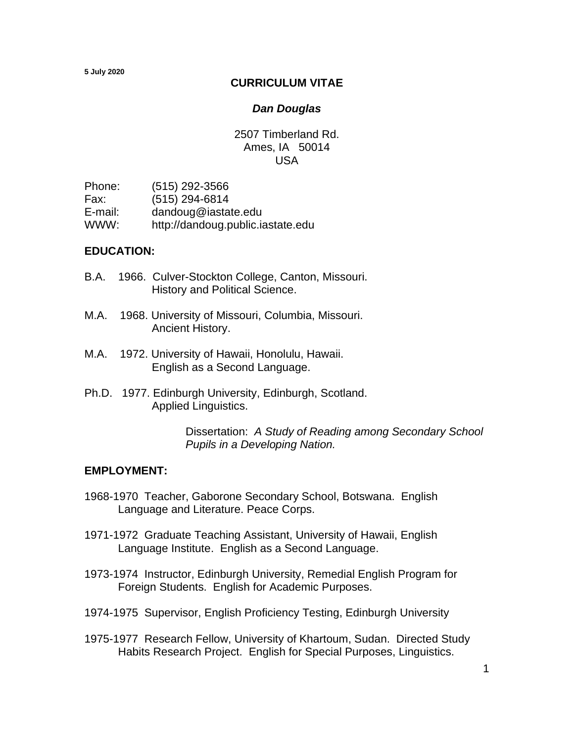#### **CURRICULUM VITAE**

#### *Dan Douglas*

2507 Timberland Rd. Ames, IA 50014 USA

Phone: (515) 292-3566 Fax: (515) 294-6814 E-mail: dandoug@iastate.edu WWW: http://dandoug.public.iastate.edu

#### **EDUCATION:**

- B.A. 1966. Culver-Stockton College, Canton, Missouri. History and Political Science.
- M.A. 1968. University of Missouri, Columbia, Missouri. Ancient History.
- M.A. 1972. University of Hawaii, Honolulu, Hawaii. English as a Second Language.
- Ph.D. 1977. Edinburgh University, Edinburgh, Scotland. Applied Linguistics.

 Dissertation: *A Study of Reading among Secondary School Pupils in a Developing Nation.*

#### **EMPLOYMENT:**

- 1968-1970 Teacher, Gaborone Secondary School, Botswana. English Language and Literature. Peace Corps.
- 1971-1972 Graduate Teaching Assistant, University of Hawaii, English Language Institute. English as a Second Language.
- 1973-1974 Instructor, Edinburgh University, Remedial English Program for Foreign Students. English for Academic Purposes.
- 1974-1975 Supervisor, English Proficiency Testing, Edinburgh University
- 1975-1977 Research Fellow, University of Khartoum, Sudan. Directed Study Habits Research Project. English for Special Purposes, Linguistics.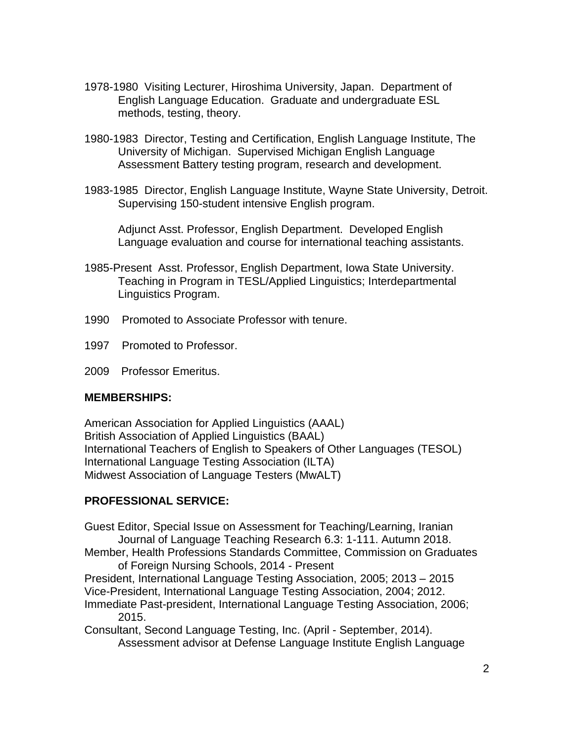- 1978-1980 Visiting Lecturer, Hiroshima University, Japan. Department of English Language Education. Graduate and undergraduate ESL methods, testing, theory.
- 1980-1983 Director, Testing and Certification, English Language Institute, The University of Michigan. Supervised Michigan English Language Assessment Battery testing program, research and development.
- 1983-1985 Director, English Language Institute, Wayne State University, Detroit. Supervising 150-student intensive English program.

Adjunct Asst. Professor, English Department. Developed English Language evaluation and course for international teaching assistants.

- 1985-Present Asst. Professor, English Department, Iowa State University. Teaching in Program in TESL/Applied Linguistics; Interdepartmental Linguistics Program.
- 1990 Promoted to Associate Professor with tenure.
- 1997 Promoted to Professor.
- 2009 Professor Emeritus.

#### **MEMBERSHIPS:**

American Association for Applied Linguistics (AAAL) British Association of Applied Linguistics (BAAL) International Teachers of English to Speakers of Other Languages (TESOL) International Language Testing Association (ILTA) Midwest Association of Language Testers (MwALT)

### **PROFESSIONAL SERVICE:**

Guest Editor, Special Issue on Assessment for Teaching/Learning, Iranian Journal of Language Teaching Research 6.3: 1-111. Autumn 2018.

Member, Health Professions Standards Committee, Commission on Graduates of Foreign Nursing Schools, 2014 - Present

President, International Language Testing Association, 2005; 2013 – 2015 Vice-President, International Language Testing Association, 2004; 2012.

Immediate Past-president, International Language Testing Association, 2006; 2015.

Consultant, Second Language Testing, Inc. (April - September, 2014). Assessment advisor at Defense Language Institute English Language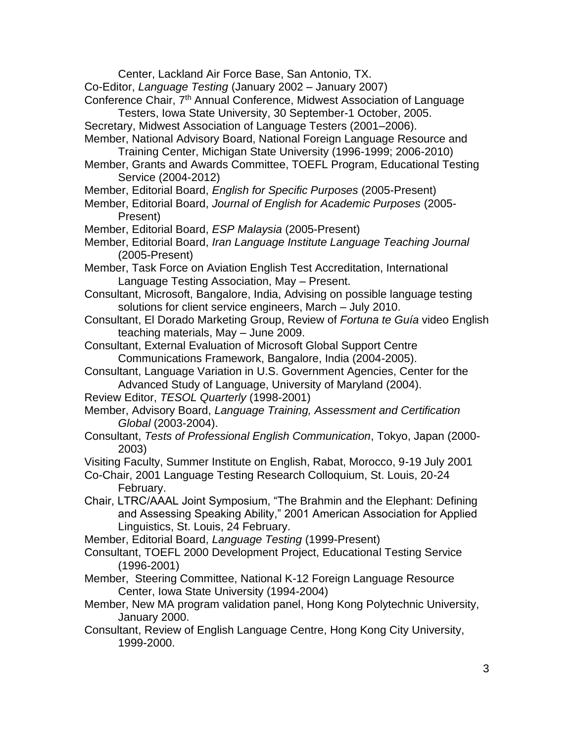Center, Lackland Air Force Base, San Antonio, TX.

- Co-Editor, *Language Testing* (January 2002 January 2007)
- Conference Chair, 7<sup>th</sup> Annual Conference, Midwest Association of Language Testers, Iowa State University, 30 September-1 October, 2005.
- Secretary, Midwest Association of Language Testers (2001–2006).
- Member, National Advisory Board, National Foreign Language Resource and Training Center, Michigan State University (1996-1999; 2006-2010)
- Member, Grants and Awards Committee, TOEFL Program, Educational Testing Service (2004-2012)
- Member, Editorial Board, *English for Specific Purposes* (2005-Present)
- Member, Editorial Board, *Journal of English for Academic Purposes* (2005- Present)
- Member, Editorial Board, *ESP Malaysia* (2005-Present)
- Member, Editorial Board, *Iran Language Institute Language Teaching Journal* (2005-Present)
- Member, Task Force on Aviation English Test Accreditation, International Language Testing Association, May – Present.
- Consultant, Microsoft, Bangalore, India, Advising on possible language testing solutions for client service engineers, March – July 2010.
- Consultant, El Dorado Marketing Group, Review of *Fortuna te Guía* video English teaching materials, May – June 2009.
- Consultant, External Evaluation of Microsoft Global Support Centre Communications Framework, Bangalore, India (2004-2005).
- Consultant, Language Variation in U.S. Government Agencies, Center for the Advanced Study of Language, University of Maryland (2004).
- Review Editor, *TESOL Quarterly* (1998-2001)
- Member, Advisory Board, *Language Training, Assessment and Certification Global* (2003-2004).
- Consultant, *Tests of Professional English Communication*, Tokyo, Japan (2000- 2003)
- Visiting Faculty, Summer Institute on English, Rabat, Morocco, 9-19 July 2001
- Co-Chair, 2001 Language Testing Research Colloquium, St. Louis, 20-24 February.
- Chair, LTRC/AAAL Joint Symposium, "The Brahmin and the Elephant: Defining and Assessing Speaking Ability," 2001 American Association for Applied Linguistics, St. Louis, 24 February.
- Member, Editorial Board, *Language Testing* (1999-Present)
- Consultant, TOEFL 2000 Development Project, Educational Testing Service (1996-2001)
- Member, Steering Committee, National K-12 Foreign Language Resource Center, Iowa State University (1994-2004)
- Member, New MA program validation panel, Hong Kong Polytechnic University, January 2000.
- Consultant, Review of English Language Centre, Hong Kong City University, 1999-2000.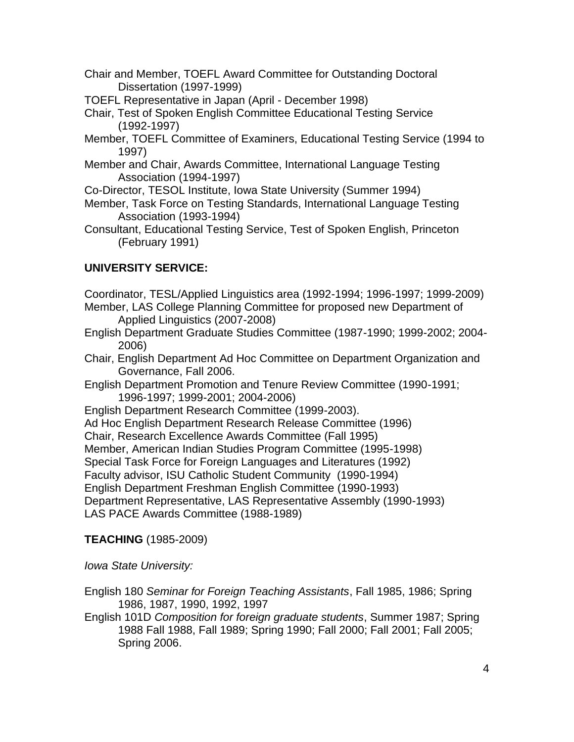- Chair and Member, TOEFL Award Committee for Outstanding Doctoral Dissertation (1997-1999)
- TOEFL Representative in Japan (April December 1998)
- Chair, Test of Spoken English Committee Educational Testing Service (1992-1997)
- Member, TOEFL Committee of Examiners, Educational Testing Service (1994 to 1997)
- Member and Chair, Awards Committee, International Language Testing Association (1994-1997)
- Co-Director, TESOL Institute, Iowa State University (Summer 1994)
- Member, Task Force on Testing Standards, International Language Testing Association (1993-1994)
- Consultant, Educational Testing Service, Test of Spoken English, Princeton (February 1991)

# **UNIVERSITY SERVICE:**

- Coordinator, TESL/Applied Linguistics area (1992-1994; 1996-1997; 1999-2009) Member, LAS College Planning Committee for proposed new Department of
	- Applied Linguistics (2007-2008)
- English Department Graduate Studies Committee (1987-1990; 1999-2002; 2004- 2006)
- Chair, English Department Ad Hoc Committee on Department Organization and Governance, Fall 2006.
- English Department Promotion and Tenure Review Committee (1990-1991; 1996-1997; 1999-2001; 2004-2006)
- English Department Research Committee (1999-2003).
- Ad Hoc English Department Research Release Committee (1996)
- Chair, Research Excellence Awards Committee (Fall 1995)
- Member, American Indian Studies Program Committee (1995-1998)
- Special Task Force for Foreign Languages and Literatures (1992)

Faculty advisor, ISU Catholic Student Community (1990-1994)

English Department Freshman English Committee (1990-1993)

Department Representative, LAS Representative Assembly (1990-1993)

LAS PACE Awards Committee (1988-1989)

# **TEACHING** (1985-2009)

*Iowa State University:*

English 180 *Seminar for Foreign Teaching Assistants*, Fall 1985, 1986; Spring 1986, 1987, 1990, 1992, 1997

English 101D *Composition for foreign graduate students*, Summer 1987; Spring 1988 Fall 1988, Fall 1989; Spring 1990; Fall 2000; Fall 2001; Fall 2005; Spring 2006.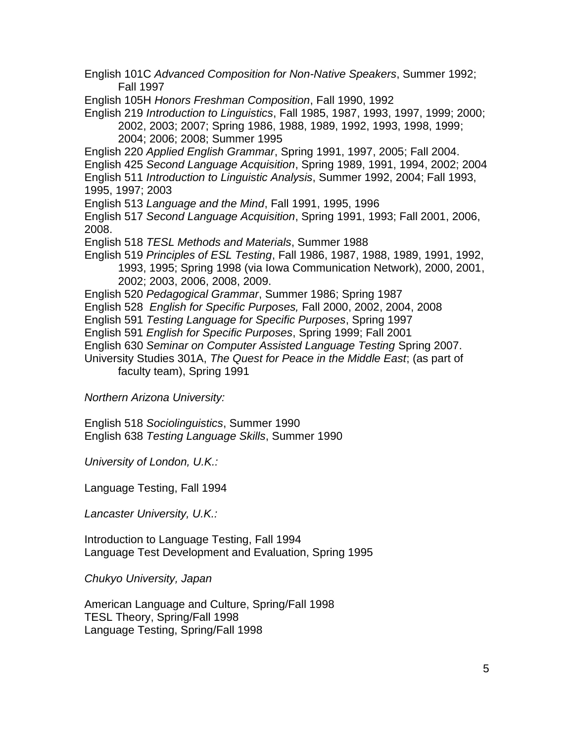English 101C *Advanced Composition for Non-Native Speakers*, Summer 1992; Fall 1997

English 105H *Honors Freshman Composition*, Fall 1990, 1992

English 219 *Introduction to Linguistics*, Fall 1985, 1987, 1993, 1997, 1999; 2000; 2002, 2003; 2007; Spring 1986, 1988, 1989, 1992, 1993, 1998, 1999; 2004; 2006; 2008; Summer 1995

English 220 *Applied English Grammar*, Spring 1991, 1997, 2005; Fall 2004.

English 425 *Second Language Acquisition*, Spring 1989, 1991, 1994, 2002; 2004

English 511 *Introduction to Linguistic Analysis*, Summer 1992, 2004; Fall 1993,

1995, 1997; 2003

English 513 *Language and the Mind*, Fall 1991, 1995, 1996

English 517 *Second Language Acquisition*, Spring 1991, 1993; Fall 2001, 2006, 2008.

English 518 *TESL Methods and Materials*, Summer 1988

English 519 *Principles of ESL Testing*, Fall 1986, 1987, 1988, 1989, 1991, 1992, 1993, 1995; Spring 1998 (via Iowa Communication Network), 2000, 2001, 2002; 2003, 2006, 2008, 2009.

English 520 *Pedagogical Grammar*, Summer 1986; Spring 1987

English 528 *English for Specific Purposes,* Fall 2000, 2002, 2004, 2008

English 591 *Testing Language for Specific Purposes*, Spring 1997

English 591 *English for Specific Purposes*, Spring 1999; Fall 2001

English 630 *Seminar on Computer Assisted Language Testing* Spring 2007.

University Studies 301A, *The Quest for Peace in the Middle East*; (as part of

faculty team), Spring 1991

*Northern Arizona University:*

English 518 *Sociolinguistics*, Summer 1990 English 638 *Testing Language Skills*, Summer 1990

*University of London, U.K.:*

Language Testing, Fall 1994

*Lancaster University, U.K.:*

Introduction to Language Testing, Fall 1994 Language Test Development and Evaluation, Spring 1995

*Chukyo University, Japan*

American Language and Culture, Spring/Fall 1998 TESL Theory, Spring/Fall 1998 Language Testing, Spring/Fall 1998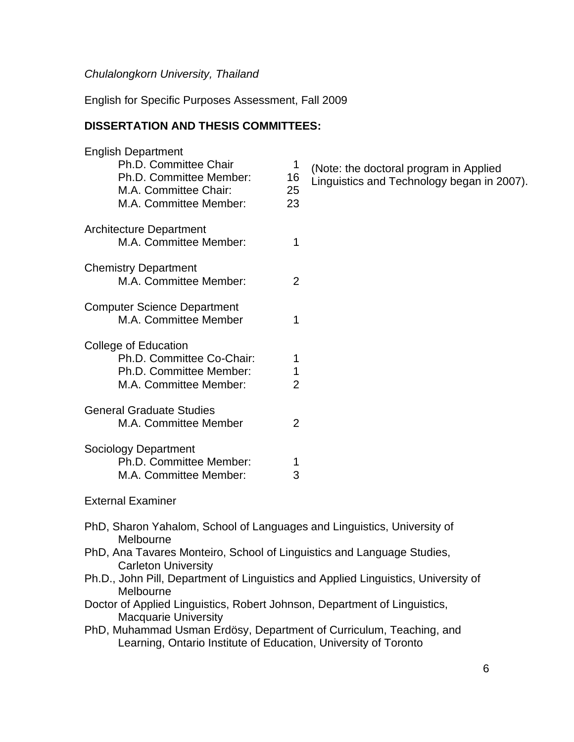### *Chulalongkorn University, Thailand*

English for Specific Purposes Assessment, Fall 2009

## **DISSERTATION AND THESIS COMMITTEES:**

| <b>English Department</b><br>Ph.D. Committee Chair | 1              |
|----------------------------------------------------|----------------|
| Ph.D. Committee Member:                            | 16             |
| M.A. Committee Chair:                              | 25             |
| M.A. Committee Member:                             | 23             |
| <b>Architecture Department</b>                     |                |
| M.A. Committee Member:                             | 1              |
| <b>Chemistry Department</b>                        |                |
| M.A. Committee Member:                             | 2              |
| <b>Computer Science Department</b>                 |                |
| M.A. Committee Member                              | 1              |
| College of Education                               |                |
| Ph.D. Committee Co-Chair:                          | 1              |
| Ph.D. Committee Member:                            | $\mathbf 1$    |
| M.A. Committee Member:                             | $\overline{2}$ |
| <b>General Graduate Studies</b>                    |                |
| M.A. Committee Member                              | $\overline{2}$ |
| <b>Sociology Department</b>                        |                |
| Ph.D. Committee Member:                            |                |
| M.A. Committee Member:                             | 3              |

- (Note: the doctoral program in Applied
- Linguistics and Technology began in 2007).

External Examiner

- PhD, Sharon Yahalom, School of Languages and Linguistics, University of Melbourne
- PhD, Ana Tavares Monteiro, School of Linguistics and Language Studies, Carleton University
- Ph.D., John Pill, Department of Linguistics and Applied Linguistics, University of Melbourne
- Doctor of Applied Linguistics, Robert Johnson, Department of Linguistics, Macquarie University
- PhD, Muhammad Usman Erdösy, Department of Curriculum, Teaching, and Learning, Ontario Institute of Education, University of Toronto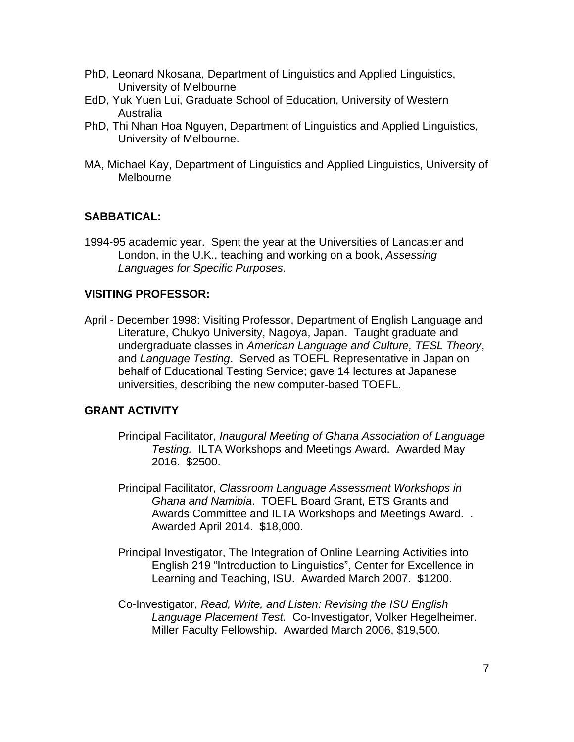- PhD, Leonard Nkosana, Department of Linguistics and Applied Linguistics, University of Melbourne
- EdD, Yuk Yuen Lui, Graduate School of Education, University of Western Australia
- PhD, Thi Nhan Hoa Nguyen, Department of Linguistics and Applied Linguistics, University of Melbourne.
- MA, Michael Kay, Department of Linguistics and Applied Linguistics, University of Melbourne

## **SABBATICAL:**

1994-95 academic year. Spent the year at the Universities of Lancaster and London, in the U.K., teaching and working on a book, *Assessing Languages for Specific Purposes.*

### **VISITING PROFESSOR:**

April - December 1998: Visiting Professor, Department of English Language and Literature, Chukyo University, Nagoya, Japan. Taught graduate and undergraduate classes in *American Language and Culture, TESL Theory*, and *Language Testing*. Served as TOEFL Representative in Japan on behalf of Educational Testing Service; gave 14 lectures at Japanese universities, describing the new computer-based TOEFL.

#### **GRANT ACTIVITY**

- Principal Facilitator, *Inaugural Meeting of Ghana Association of Language Testing.* ILTA Workshops and Meetings Award. Awarded May 2016. \$2500.
- Principal Facilitator, *Classroom Language Assessment Workshops in Ghana and Namibia*. TOEFL Board Grant, ETS Grants and Awards Committee and ILTA Workshops and Meetings Award. . Awarded April 2014. \$18,000.
- Principal Investigator, The Integration of Online Learning Activities into English 219 "Introduction to Linguistics", Center for Excellence in Learning and Teaching, ISU. Awarded March 2007. \$1200.
- Co-Investigator, *Read, Write, and Listen: Revising the ISU English Language Placement Test.* Co-Investigator, Volker Hegelheimer. Miller Faculty Fellowship. Awarded March 2006, \$19,500.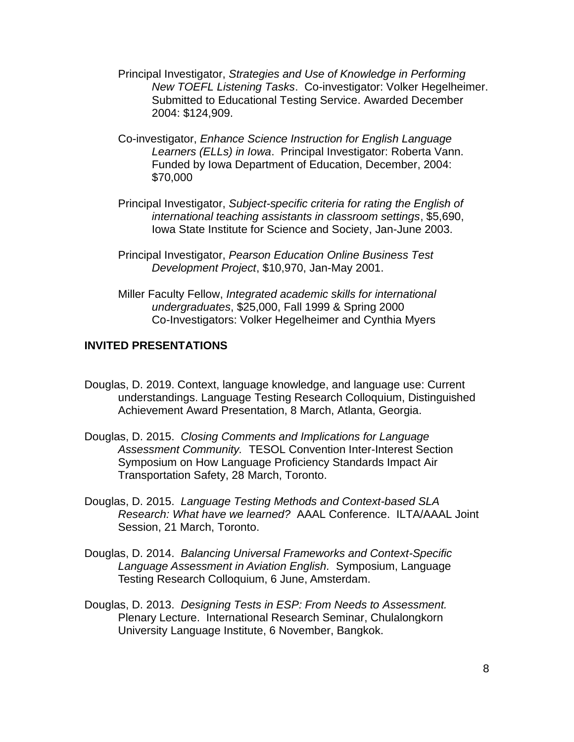- Principal Investigator, *Strategies and Use of Knowledge in Performing New TOEFL Listening Tasks*. Co-investigator: Volker Hegelheimer. Submitted to Educational Testing Service. Awarded December 2004: \$124,909.
- Co-investigator, *Enhance Science Instruction for English Language Learners (ELLs) in Iowa*. Principal Investigator: Roberta Vann. Funded by Iowa Department of Education, December, 2004: \$70,000
- Principal Investigator, *Subject-specific criteria for rating the English of international teaching assistants in classroom settings*, \$5,690, Iowa State Institute for Science and Society, Jan-June 2003.
- Principal Investigator, *Pearson Education Online Business Test Development Project*, \$10,970, Jan-May 2001.
- Miller Faculty Fellow, *Integrated academic skills for international undergraduates*, \$25,000, Fall 1999 & Spring 2000 Co-Investigators: Volker Hegelheimer and Cynthia Myers

## **INVITED PRESENTATIONS**

- Douglas, D. 2019. Context, language knowledge, and language use: Current understandings. Language Testing Research Colloquium, Distinguished Achievement Award Presentation, 8 March, Atlanta, Georgia.
- Douglas, D. 2015. *Closing Comments and Implications for Language Assessment Community.* TESOL Convention Inter-Interest Section Symposium on How Language Proficiency Standards Impact Air Transportation Safety, 28 March, Toronto.
- Douglas, D. 2015. *Language Testing Methods and Context-based SLA Research: What have we learned?* AAAL Conference. ILTA/AAAL Joint Session, 21 March, Toronto.
- Douglas, D. 2014. *Balancing Universal Frameworks and Context-Specific Language Assessment in Aviation English.* Symposium, Language Testing Research Colloquium, 6 June, Amsterdam.
- Douglas, D. 2013. *Designing Tests in ESP: From Needs to Assessment.*  Plenary Lecture. International Research Seminar, Chulalongkorn University Language Institute, 6 November, Bangkok.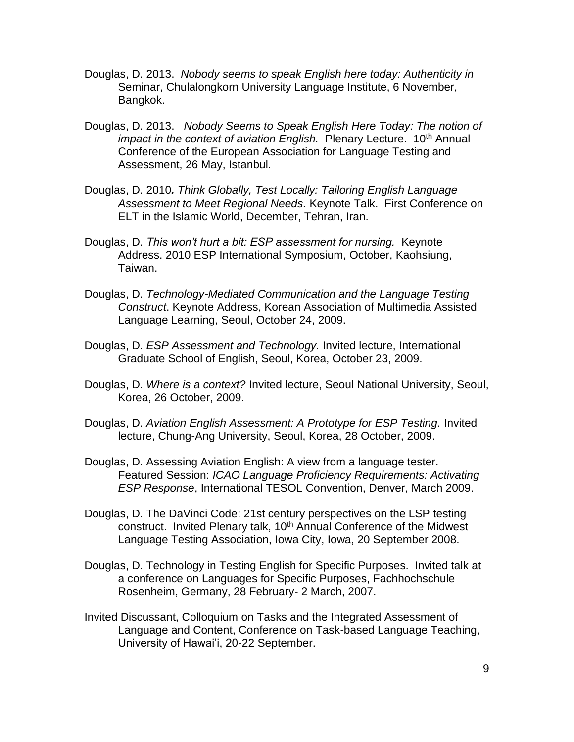- Douglas, D. 2013. *Nobody seems to speak English here today: Authenticity in*  Seminar, Chulalongkorn University Language Institute, 6 November, Bangkok.
- Douglas, D. 2013. *Nobody Seems to Speak English Here Today: The notion of impact in the context of aviation English.* Plenary Lecture. 10<sup>th</sup> Annual Conference of the European Association for Language Testing and Assessment, 26 May, Istanbul.
- Douglas, D. 2010*. Think Globally, Test Locally: Tailoring English Language Assessment to Meet Regional Needs.* Keynote Talk. First Conference on ELT in the Islamic World, December, Tehran, Iran.
- Douglas, D. *This won't hurt a bit: ESP assessment for nursing.* Keynote Address. 2010 ESP International Symposium, October, Kaohsiung, Taiwan.
- Douglas, D. *Technology-Mediated Communication and the Language Testing Construct*. Keynote Address, Korean Association of Multimedia Assisted Language Learning, Seoul, October 24, 2009.
- Douglas, D. *ESP Assessment and Technology.* Invited lecture, International Graduate School of English, Seoul, Korea, October 23, 2009.
- Douglas, D. *Where is a context?* Invited lecture, Seoul National University, Seoul, Korea, 26 October, 2009.
- Douglas, D. *Aviation English Assessment: A Prototype for ESP Testing.* Invited lecture, Chung-Ang University, Seoul, Korea, 28 October, 2009.
- Douglas, D. Assessing Aviation English: A view from a language tester. Featured Session: *ICAO Language Proficiency Requirements: Activating ESP Response*, International TESOL Convention, Denver, March 2009.
- Douglas, D. The DaVinci Code: 21st century perspectives on the LSP testing construct. Invited Plenary talk, 10<sup>th</sup> Annual Conference of the Midwest Language Testing Association, Iowa City, Iowa, 20 September 2008.
- Douglas, D. Technology in Testing English for Specific Purposes. Invited talk at a conference on Languages for Specific Purposes, Fachhochschule Rosenheim, Germany, 28 February- 2 March, 2007.
- Invited Discussant, Colloquium on Tasks and the Integrated Assessment of Language and Content, Conference on Task-based Language Teaching, University of Hawai'i, 20-22 September.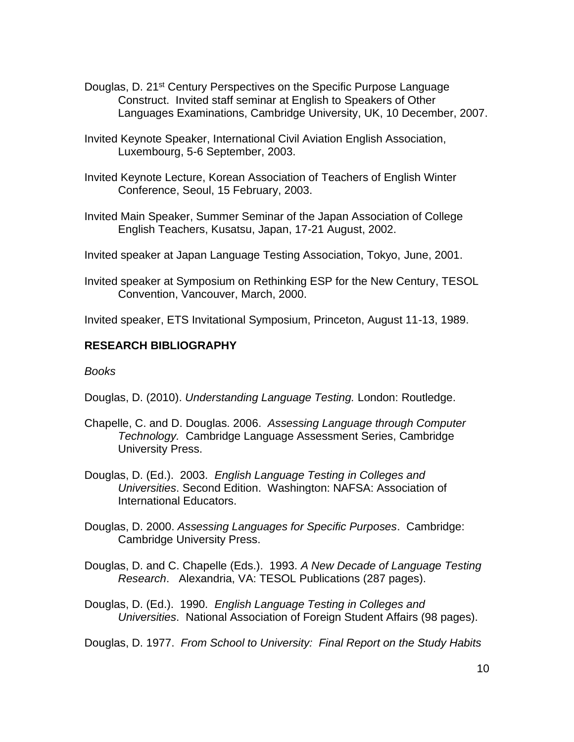- Douglas, D. 21<sup>st</sup> Century Perspectives on the Specific Purpose Language Construct. Invited staff seminar at English to Speakers of Other Languages Examinations, Cambridge University, UK, 10 December, 2007.
- Invited Keynote Speaker, International Civil Aviation English Association, Luxembourg, 5-6 September, 2003.
- Invited Keynote Lecture, Korean Association of Teachers of English Winter Conference, Seoul, 15 February, 2003.
- Invited Main Speaker, Summer Seminar of the Japan Association of College English Teachers, Kusatsu, Japan, 17-21 August, 2002.
- Invited speaker at Japan Language Testing Association, Tokyo, June, 2001.
- Invited speaker at Symposium on Rethinking ESP for the New Century, TESOL Convention, Vancouver, March, 2000.

Invited speaker, ETS Invitational Symposium, Princeton, August 11-13, 1989.

### **RESEARCH BIBLIOGRAPHY**

*Books*

Douglas, D. (2010). *Understanding Language Testing.* London: Routledge.

- Chapelle, C. and D. Douglas. 2006. *Assessing Language through Computer Technology.* Cambridge Language Assessment Series, Cambridge University Press.
- Douglas, D. (Ed.). 2003. *English Language Testing in Colleges and Universities*. Second Edition. Washington: NAFSA: Association of International Educators.
- Douglas, D. 2000. *Assessing Languages for Specific Purposes*. Cambridge: Cambridge University Press.
- Douglas, D. and C. Chapelle (Eds.). 1993. *A New Decade of Language Testing Research*. Alexandria, VA: TESOL Publications (287 pages).
- Douglas, D. (Ed.). 1990. *English Language Testing in Colleges and Universities*. National Association of Foreign Student Affairs (98 pages).

Douglas, D. 1977. *From School to University: Final Report on the Study Habits*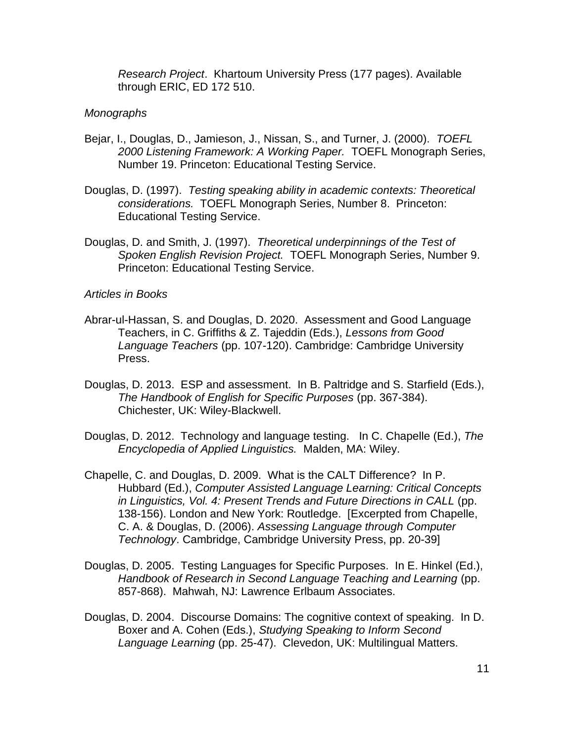*Research Project*. Khartoum University Press (177 pages). Available through ERIC, ED 172 510.

### *Monographs*

- Bejar, I., Douglas, D., Jamieson, J., Nissan, S., and Turner, J. (2000). *TOEFL 2000 Listening Framework: A Working Paper.* TOEFL Monograph Series, Number 19. Princeton: Educational Testing Service.
- Douglas, D. (1997). *Testing speaking ability in academic contexts: Theoretical considerations.* TOEFL Monograph Series, Number 8. Princeton: Educational Testing Service.
- Douglas, D. and Smith, J. (1997). *Theoretical underpinnings of the Test of Spoken English Revision Project.* TOEFL Monograph Series, Number 9. Princeton: Educational Testing Service.

### *Articles in Books*

- Abrar-ul-Hassan, S. and Douglas, D. 2020. Assessment and Good Language Teachers, in C. Griffiths & Z. Tajeddin (Eds.), *Lessons from Good Language Teachers* (pp. 107-120). Cambridge: Cambridge University Press.
- Douglas, D. 2013. ESP and assessment. In B. Paltridge and S. Starfield (Eds.), *The Handbook of English for Specific Purposes* (pp. 367-384). Chichester, UK: Wiley-Blackwell.
- Douglas, D. 2012. Technology and language testing. In C. Chapelle (Ed.), *The Encyclopedia of Applied Linguistics.* Malden, MA: Wiley.
- Chapelle, C. and Douglas, D. 2009. What is the CALT Difference? In P. Hubbard (Ed.), *Computer Assisted Language Learning: Critical Concepts in Linguistics, Vol. 4: Present Trends and Future Directions in CALL* (pp. 138-156). London and New York: Routledge. [Excerpted from Chapelle, C. A. & Douglas, D. (2006). *Assessing Language through Computer Technology*. Cambridge, Cambridge University Press, pp. 20-39]
- Douglas, D. 2005. Testing Languages for Specific Purposes. In E. Hinkel (Ed.), *Handbook of Research in Second Language Teaching and Learning* (pp. 857-868). Mahwah, NJ: Lawrence Erlbaum Associates.
- Douglas, D. 2004. Discourse Domains: The cognitive context of speaking. In D. Boxer and A. Cohen (Eds.), *Studying Speaking to Inform Second Language Learning* (pp. 25-47). Clevedon, UK: Multilingual Matters.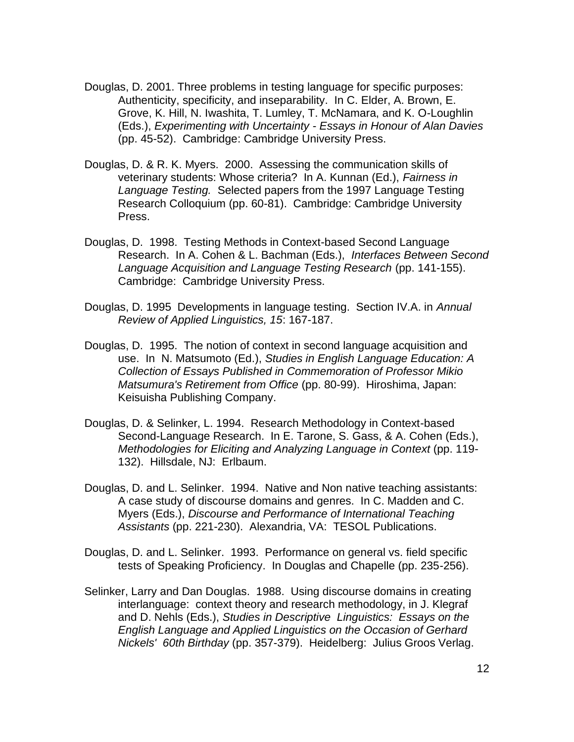- Douglas, D. 2001. Three problems in testing language for specific purposes: Authenticity, specificity, and inseparability. In C. Elder, A. Brown, E. Grove, K. Hill, N. Iwashita, T. Lumley, T. McNamara, and K. O-Loughlin (Eds.), *Experimenting with Uncertainty - Essays in Honour of Alan Davies*  (pp. 45-52). Cambridge: Cambridge University Press.
- Douglas, D. & R. K. Myers. 2000. Assessing the communication skills of veterinary students: Whose criteria? In A. Kunnan (Ed.), *Fairness in Language Testing.* Selected papers from the 1997 Language Testing Research Colloquium (pp. 60-81). Cambridge: Cambridge University Press.
- Douglas, D. 1998. Testing Methods in Context-based Second Language Research. In A. Cohen & L. Bachman (Eds.), *Interfaces Between Second Language Acquisition and Language Testing Research* (pp. 141-155). Cambridge: Cambridge University Press.
- Douglas, D. 1995 Developments in language testing. Section IV.A. in *Annual Review of Applied Linguistics, 15*: 167-187.
- Douglas, D. 1995. The notion of context in second language acquisition and use. In N. Matsumoto (Ed.), *Studies in English Language Education: A Collection of Essays Published in Commemoration of Professor Mikio Matsumura's Retirement from Office* (pp. 80-99). Hiroshima, Japan: Keisuisha Publishing Company.
- Douglas, D. & Selinker, L. 1994. Research Methodology in Context-based Second-Language Research. In E. Tarone, S. Gass, & A. Cohen (Eds.), *Methodologies for Eliciting and Analyzing Language in Context* (pp. 119- 132). Hillsdale, NJ: Erlbaum.
- Douglas, D. and L. Selinker. 1994. Native and Non native teaching assistants: A case study of discourse domains and genres. In C. Madden and C. Myers (Eds.), *Discourse and Performance of International Teaching Assistants* (pp. 221-230). Alexandria, VA: TESOL Publications.
- Douglas, D. and L. Selinker. 1993. Performance on general vs. field specific tests of Speaking Proficiency. In Douglas and Chapelle (pp. 235-256).
- Selinker, Larry and Dan Douglas. 1988. Using discourse domains in creating interlanguage: context theory and research methodology, in J. Klegraf and D. Nehls (Eds.), *Studies in Descriptive Linguistics: Essays on the English Language and Applied Linguistics on the Occasion of Gerhard Nickels' 60th Birthday* (pp. 357-379). Heidelberg: Julius Groos Verlag.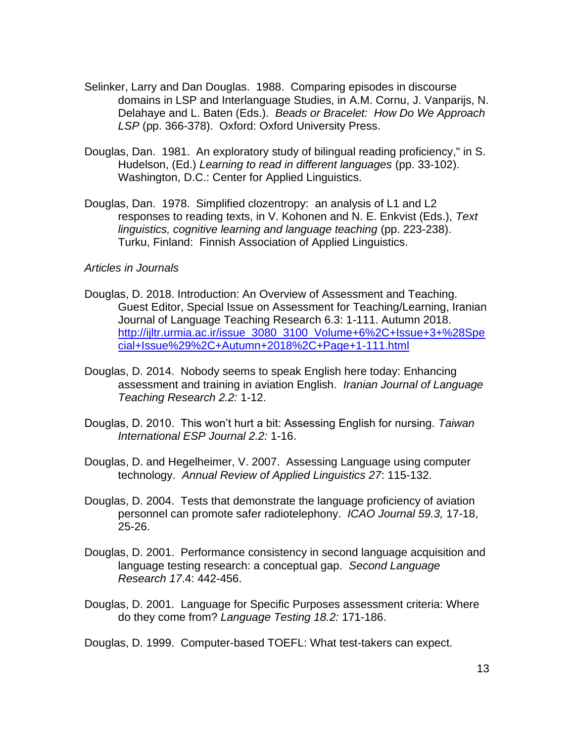- Selinker, Larry and Dan Douglas. 1988. Comparing episodes in discourse domains in LSP and Interlanguage Studies, in A.M. Cornu, J. Vanparijs, N. Delahaye and L. Baten (Eds.). *Beads or Bracelet: How Do We Approach LSP* (pp. 366-378). Oxford: Oxford University Press.
- Douglas, Dan. 1981. An exploratory study of bilingual reading proficiency," in S. Hudelson, (Ed.) *Learning to read in different languages* (pp. 33-102). Washington, D.C.: Center for Applied Linguistics.
- Douglas, Dan. 1978. Simplified clozentropy: an analysis of L1 and L2 responses to reading texts, in V. Kohonen and N. E. Enkvist (Eds.), *Text linguistics, cognitive learning and language teaching* (pp. 223-238). Turku, Finland: Finnish Association of Applied Linguistics.

#### *Articles in Journals*

- Douglas, D. 2018. Introduction: An Overview of Assessment and Teaching. Guest Editor, Special Issue on Assessment for Teaching/Learning, Iranian Journal of Language Teaching Research 6.3: 1-111. Autumn 2018. [http://ijltr.urmia.ac.ir/issue\\_3080\\_3100\\_Volume+6%2C+Issue+3+%28Spe](http://ijltr.urmia.ac.ir/issue_3080_3100_Volume+6%2C+Issue+3+%28Spe%20cial+Issue%29%2C+Autumn+2018%2C+Page+1-111.html)  [cial+Issue%29%2C+Autumn+2018%2C+Page+1-111.html](http://ijltr.urmia.ac.ir/issue_3080_3100_Volume+6%2C+Issue+3+%28Spe%20cial+Issue%29%2C+Autumn+2018%2C+Page+1-111.html)
- Douglas, D. 2014. Nobody seems to speak English here today: Enhancing assessment and training in aviation English. *Iranian Journal of Language Teaching Research 2.2:* 1-12.
- Douglas, D. 2010. This won't hurt a bit: Assessing English for nursing. *Taiwan International ESP Journal 2.2:* 1-16.
- Douglas, D. and Hegelheimer, V. 2007. Assessing Language using computer technology. *Annual Review of Applied Linguistics 27*: 115-132.
- Douglas, D. 2004. Tests that demonstrate the language proficiency of aviation personnel can promote safer radiotelephony. *ICAO Journal 59.3,* 17-18, 25-26.
- Douglas, D. 2001. Performance consistency in second language acquisition and language testing research: a conceptual gap. *Second Language Research 17*.4: 442-456.
- Douglas, D. 2001. Language for Specific Purposes assessment criteria: Where do they come from? *Language Testing 18.2:* 171-186.

Douglas, D. 1999. Computer-based TOEFL: What test-takers can expect.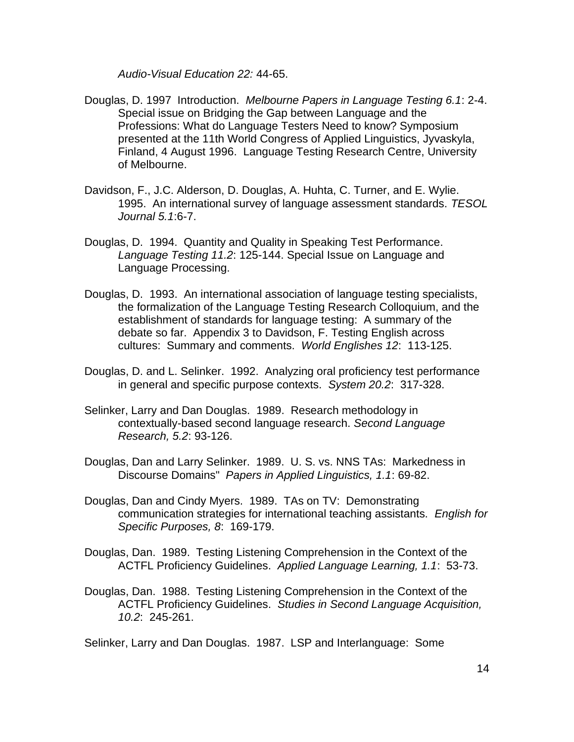*Audio-Visual Education 22:* 44-65.

- Douglas, D. 1997 Introduction. *Melbourne Papers in Language Testing 6.1*: 2-4. Special issue on Bridging the Gap between Language and the Professions: What do Language Testers Need to know? Symposium presented at the 11th World Congress of Applied Linguistics, Jyvaskyla, Finland, 4 August 1996. Language Testing Research Centre, University of Melbourne.
- Davidson, F., J.C. Alderson, D. Douglas, A. Huhta, C. Turner, and E. Wylie. 1995. An international survey of language assessment standards. *TESOL Journal 5.1*:6-7.
- Douglas, D. 1994. Quantity and Quality in Speaking Test Performance. *Language Testing 11.2*: 125-144. Special Issue on Language and Language Processing.
- Douglas, D. 1993. An international association of language testing specialists, the formalization of the Language Testing Research Colloquium, and the establishment of standards for language testing: A summary of the debate so far. Appendix 3 to Davidson, F. Testing English across cultures: Summary and comments. *World Englishes 12*: 113-125.
- Douglas, D. and L. Selinker. 1992. Analyzing oral proficiency test performance in general and specific purpose contexts. *System 20.2*: 317-328.
- Selinker, Larry and Dan Douglas. 1989. Research methodology in contextually-based second language research. *Second Language Research, 5.2*: 93-126.
- Douglas, Dan and Larry Selinker. 1989. U. S. vs. NNS TAs: Markedness in Discourse Domains" *Papers in Applied Linguistics, 1.1*: 69-82.
- Douglas, Dan and Cindy Myers. 1989. TAs on TV: Demonstrating communication strategies for international teaching assistants. *English for Specific Purposes, 8*: 169-179.
- Douglas, Dan. 1989. Testing Listening Comprehension in the Context of the ACTFL Proficiency Guidelines. *Applied Language Learning, 1.1*: 53-73.
- Douglas, Dan. 1988. Testing Listening Comprehension in the Context of the ACTFL Proficiency Guidelines. *Studies in Second Language Acquisition, 10.2*: 245-261.

Selinker, Larry and Dan Douglas. 1987. LSP and Interlanguage: Some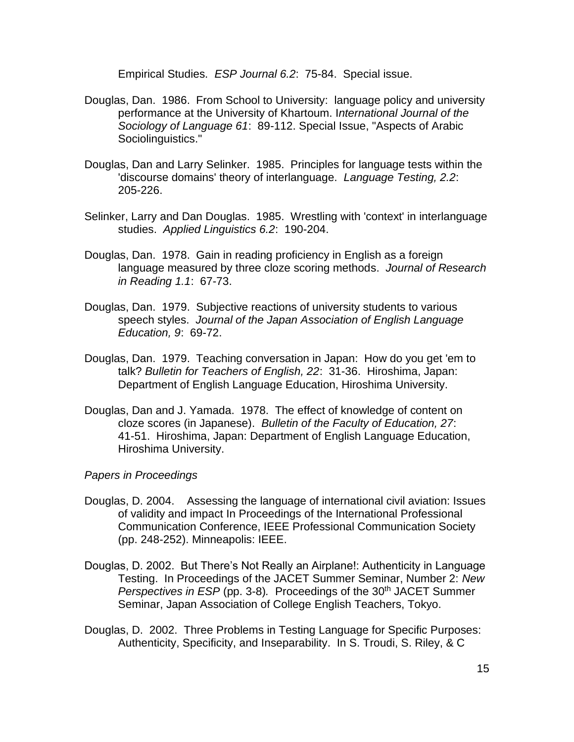Empirical Studies. *ESP Journal 6.2*: 75-84. Special issue.

- Douglas, Dan. 1986. From School to University: language policy and university performance at the University of Khartoum. I*nternational Journal of the Sociology of Language 61*: 89-112. Special Issue, "Aspects of Arabic Sociolinguistics."
- Douglas, Dan and Larry Selinker. 1985. Principles for language tests within the 'discourse domains' theory of interlanguage. *Language Testing, 2.2*: 205-226.
- Selinker, Larry and Dan Douglas. 1985. Wrestling with 'context' in interlanguage studies. *Applied Linguistics 6.2*: 190-204.
- Douglas, Dan. 1978. Gain in reading proficiency in English as a foreign language measured by three cloze scoring methods. *Journal of Research in Reading 1.1*: 67-73.
- Douglas, Dan. 1979. Subjective reactions of university students to various speech styles. *Journal of the Japan Association of English Language Education, 9*: 69-72.
- Douglas, Dan. 1979. Teaching conversation in Japan: How do you get 'em to talk? *Bulletin for Teachers of English, 22*: 31-36. Hiroshima, Japan: Department of English Language Education, Hiroshima University.
- Douglas, Dan and J. Yamada. 1978. The effect of knowledge of content on cloze scores (in Japanese). *Bulletin of the Faculty of Education, 27*: 41-51. Hiroshima, Japan: Department of English Language Education, Hiroshima University.

#### *Papers in Proceedings*

- Douglas, D. 2004. Assessing the language of international civil aviation: Issues of validity and impact In Proceedings of the International Professional Communication Conference, IEEE Professional Communication Society (pp. 248-252). Minneapolis: IEEE.
- Douglas, D. 2002. But There's Not Really an Airplane!: Authenticity in Language Testing. In Proceedings of the JACET Summer Seminar, Number 2: *New Perspectives in ESP* (pp. 3-8). Proceedings of the 30<sup>th</sup> JACET Summer Seminar, Japan Association of College English Teachers, Tokyo.
- Douglas, D. 2002. Three Problems in Testing Language for Specific Purposes: Authenticity, Specificity, and Inseparability. In S. Troudi, S. Riley, & C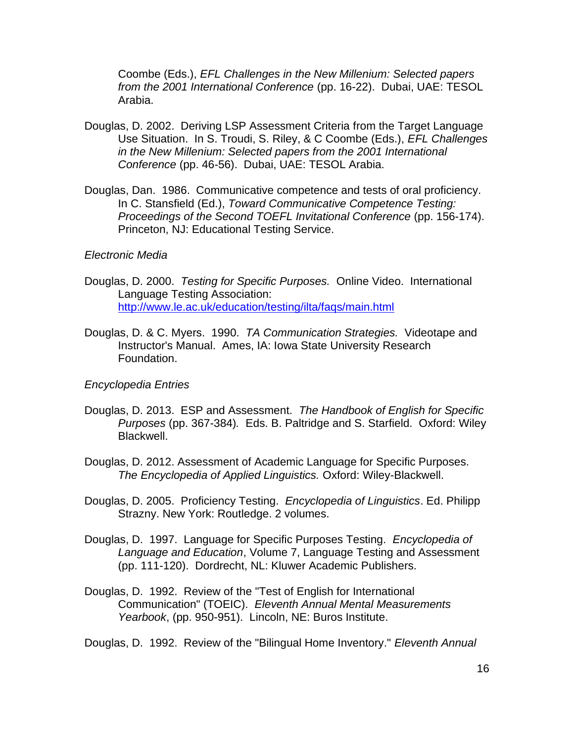Coombe (Eds.), *EFL Challenges in the New Millenium: Selected papers from the 2001 International Conference* (pp. 16-22). Dubai, UAE: TESOL Arabia.

- Douglas, D. 2002. Deriving LSP Assessment Criteria from the Target Language Use Situation. In S. Troudi, S. Riley, & C Coombe (Eds.), *EFL Challenges in the New Millenium: Selected papers from the 2001 International Conference* (pp. 46-56). Dubai, UAE: TESOL Arabia.
- Douglas, Dan. 1986. Communicative competence and tests of oral proficiency. In C. Stansfield (Ed.), *Toward Communicative Competence Testing: Proceedings of the Second TOEFL Invitational Conference* (pp. 156-174). Princeton, NJ: Educational Testing Service.

#### *Electronic Media*

- Douglas, D. 2000. *Testing for Specific Purposes.* Online Video. International Language Testing Association: <http://www.le.ac.uk/education/testing/ilta/faqs/main.html>
- Douglas, D. & C. Myers. 1990. *TA Communication Strategies.* Videotape and Instructor's Manual. Ames, IA: Iowa State University Research Foundation.

#### *Encyclopedia Entries*

- Douglas, D. 2013. ESP and Assessment. *The Handbook of English for Specific Purposes* (pp. 367-384)*.* Eds. B. Paltridge and S. Starfield. Oxford: Wiley Blackwell.
- Douglas, D. 2012. Assessment of Academic Language for Specific Purposes. *The Encyclopedia of Applied Linguistics.* Oxford: Wiley-Blackwell.
- Douglas, D. 2005. Proficiency Testing. *Encyclopedia of Linguistics*. Ed. Philipp Strazny. New York: Routledge. 2 volumes.
- Douglas, D. 1997. Language for Specific Purposes Testing. *Encyclopedia of Language and Education*, Volume 7, Language Testing and Assessment (pp. 111-120). Dordrecht, NL: Kluwer Academic Publishers.
- Douglas, D. 1992. Review of the "Test of English for International Communication" (TOEIC). *Eleventh Annual Mental Measurements Yearbook*, (pp. 950-951). Lincoln, NE: Buros Institute.

Douglas, D. 1992. Review of the "Bilingual Home Inventory." *Eleventh Annual*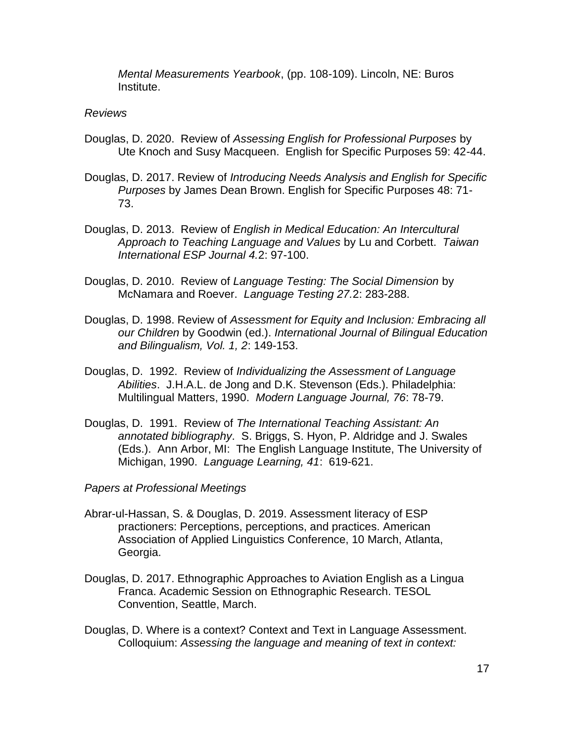*Mental Measurements Yearbook*, (pp. 108-109). Lincoln, NE: Buros Institute.

### *Reviews*

- Douglas, D. 2020. Review of *Assessing English for Professional Purposes* by Ute Knoch and Susy Macqueen. English for Specific Purposes 59: 42-44.
- Douglas, D. 2017. Review of *Introducing Needs Analysis and English for Specific Purposes* by James Dean Brown. English for Specific Purposes 48: 71- 73.
- Douglas, D. 2013. Review of *English in Medical Education: An Intercultural Approach to Teaching Language and Values* by Lu and Corbett. *Taiwan International ESP Journal 4.*2: 97-100.
- Douglas, D. 2010. Review of *Language Testing: The Social Dimension* by McNamara and Roever. *Language Testing 27.*2: 283-288.
- Douglas, D. 1998. Review of *Assessment for Equity and Inclusion: Embracing all our Children* by Goodwin (ed.). *International Journal of Bilingual Education and Bilingualism, Vol. 1, 2*: 149-153.
- Douglas, D. 1992. Review of *Individualizing the Assessment of Language Abilities*. J.H.A.L. de Jong and D.K. Stevenson (Eds.). Philadelphia: Multilingual Matters, 1990. *Modern Language Journal, 76*: 78-79.
- Douglas, D. 1991. Review of *The International Teaching Assistant: An annotated bibliography*. S. Briggs, S. Hyon, P. Aldridge and J. Swales (Eds.). Ann Arbor, MI: The English Language Institute, The University of Michigan, 1990. *Language Learning, 41*: 619-621.

#### *Papers at Professional Meetings*

- Abrar-ul-Hassan, S. & Douglas, D. 2019. Assessment literacy of ESP practioners: Perceptions, perceptions, and practices. American Association of Applied Linguistics Conference, 10 March, Atlanta, Georgia.
- Douglas, D. 2017. Ethnographic Approaches to Aviation English as a Lingua Franca. Academic Session on Ethnographic Research. TESOL Convention, Seattle, March.
- Douglas, D. Where is a context? Context and Text in Language Assessment. Colloquium: *Assessing the language and meaning of text in context:*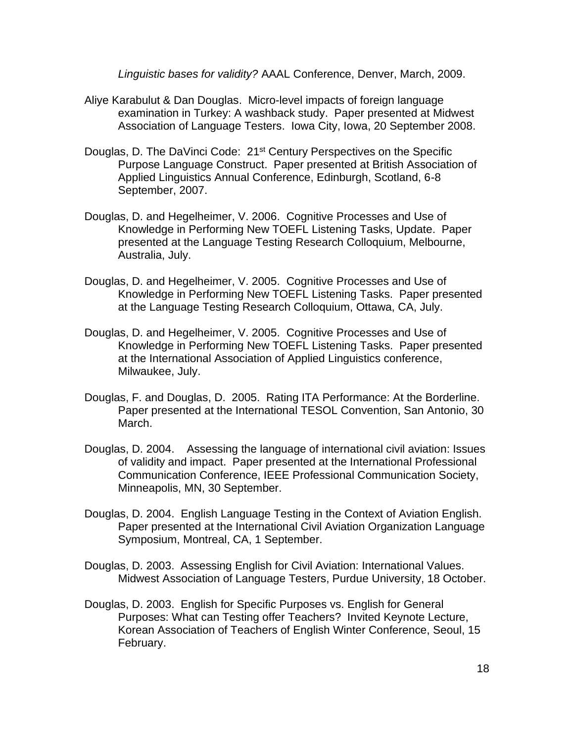*Linguistic bases for validity?* AAAL Conference, Denver, March, 2009.

- Aliye Karabulut & Dan Douglas. Micro-level impacts of foreign language examination in Turkey: A washback study. Paper presented at Midwest Association of Language Testers. Iowa City, Iowa, 20 September 2008.
- Douglas, D. The DaVinci Code: 21<sup>st</sup> Century Perspectives on the Specific Purpose Language Construct. Paper presented at British Association of Applied Linguistics Annual Conference, Edinburgh, Scotland, 6-8 September, 2007.
- Douglas, D. and Hegelheimer, V. 2006. Cognitive Processes and Use of Knowledge in Performing New TOEFL Listening Tasks, Update. Paper presented at the Language Testing Research Colloquium, Melbourne, Australia, July.
- Douglas, D. and Hegelheimer, V. 2005. Cognitive Processes and Use of Knowledge in Performing New TOEFL Listening Tasks. Paper presented at the Language Testing Research Colloquium, Ottawa, CA, July.
- Douglas, D. and Hegelheimer, V. 2005. Cognitive Processes and Use of Knowledge in Performing New TOEFL Listening Tasks. Paper presented at the International Association of Applied Linguistics conference, Milwaukee, July.
- Douglas, F. and Douglas, D. 2005. Rating ITA Performance: At the Borderline. Paper presented at the International TESOL Convention, San Antonio, 30 March.
- Douglas, D. 2004. Assessing the language of international civil aviation: Issues of validity and impact. Paper presented at the International Professional Communication Conference, IEEE Professional Communication Society, Minneapolis, MN, 30 September.
- Douglas, D. 2004. English Language Testing in the Context of Aviation English. Paper presented at the International Civil Aviation Organization Language Symposium, Montreal, CA, 1 September.
- Douglas, D. 2003. Assessing English for Civil Aviation: International Values. Midwest Association of Language Testers, Purdue University, 18 October.
- Douglas, D. 2003. English for Specific Purposes vs. English for General Purposes: What can Testing offer Teachers? Invited Keynote Lecture, Korean Association of Teachers of English Winter Conference, Seoul, 15 February.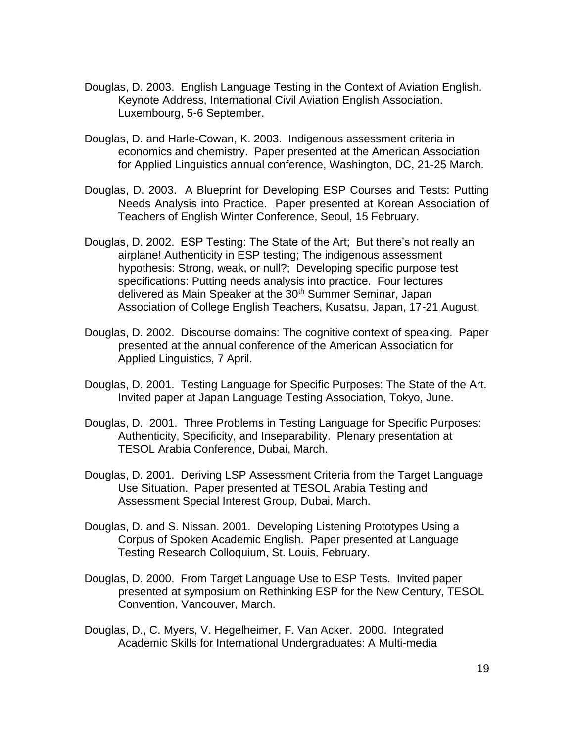- Douglas, D. 2003. English Language Testing in the Context of Aviation English. Keynote Address, International Civil Aviation English Association. Luxembourg, 5-6 September.
- Douglas, D. and Harle-Cowan, K. 2003. Indigenous assessment criteria in economics and chemistry. Paper presented at the American Association for Applied Linguistics annual conference, Washington, DC, 21-25 March.
- Douglas, D. 2003. A Blueprint for Developing ESP Courses and Tests: Putting Needs Analysis into Practice. Paper presented at Korean Association of Teachers of English Winter Conference, Seoul, 15 February.
- Douglas, D. 2002. ESP Testing: The State of the Art; But there's not really an airplane! Authenticity in ESP testing; The indigenous assessment hypothesis: Strong, weak, or null?; Developing specific purpose test specifications: Putting needs analysis into practice. Four lectures delivered as Main Speaker at the 30<sup>th</sup> Summer Seminar, Japan Association of College English Teachers, Kusatsu, Japan, 17-21 August.
- Douglas, D. 2002. Discourse domains: The cognitive context of speaking. Paper presented at the annual conference of the American Association for Applied Linguistics, 7 April.
- Douglas, D. 2001. Testing Language for Specific Purposes: The State of the Art. Invited paper at Japan Language Testing Association, Tokyo, June.
- Douglas, D. 2001. Three Problems in Testing Language for Specific Purposes: Authenticity, Specificity, and Inseparability. Plenary presentation at TESOL Arabia Conference, Dubai, March.
- Douglas, D. 2001. Deriving LSP Assessment Criteria from the Target Language Use Situation. Paper presented at TESOL Arabia Testing and Assessment Special Interest Group, Dubai, March.
- Douglas, D. and S. Nissan. 2001. Developing Listening Prototypes Using a Corpus of Spoken Academic English. Paper presented at Language Testing Research Colloquium, St. Louis, February.
- Douglas, D. 2000. From Target Language Use to ESP Tests. Invited paper presented at symposium on Rethinking ESP for the New Century, TESOL Convention, Vancouver, March.
- Douglas, D., C. Myers, V. Hegelheimer, F. Van Acker. 2000. Integrated Academic Skills for International Undergraduates: A Multi-media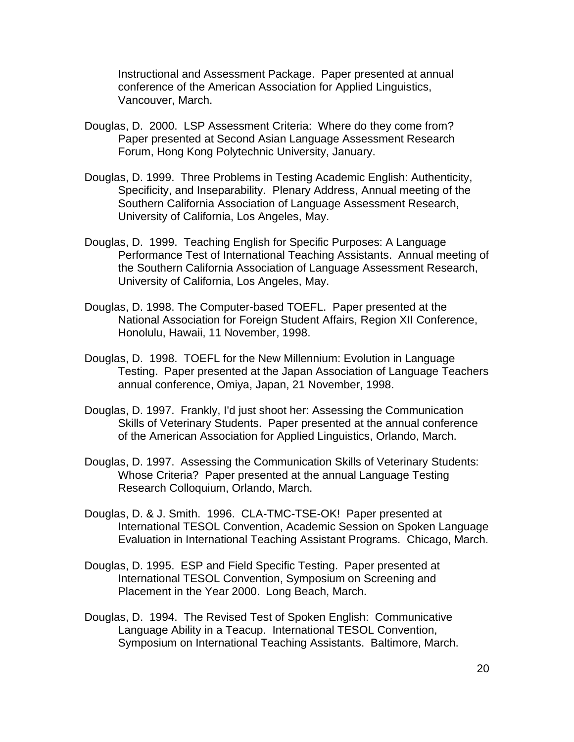Instructional and Assessment Package. Paper presented at annual conference of the American Association for Applied Linguistics, Vancouver, March.

- Douglas, D. 2000. LSP Assessment Criteria: Where do they come from? Paper presented at Second Asian Language Assessment Research Forum, Hong Kong Polytechnic University, January.
- Douglas, D. 1999. Three Problems in Testing Academic English: Authenticity, Specificity, and Inseparability. Plenary Address, Annual meeting of the Southern California Association of Language Assessment Research, University of California, Los Angeles, May.
- Douglas, D. 1999. Teaching English for Specific Purposes: A Language Performance Test of International Teaching Assistants. Annual meeting of the Southern California Association of Language Assessment Research, University of California, Los Angeles, May.
- Douglas, D. 1998. The Computer-based TOEFL. Paper presented at the National Association for Foreign Student Affairs, Region XII Conference, Honolulu, Hawaii, 11 November, 1998.
- Douglas, D. 1998. TOEFL for the New Millennium: Evolution in Language Testing. Paper presented at the Japan Association of Language Teachers annual conference, Omiya, Japan, 21 November, 1998.
- Douglas, D. 1997. Frankly, I'd just shoot her: Assessing the Communication Skills of Veterinary Students. Paper presented at the annual conference of the American Association for Applied Linguistics, Orlando, March.
- Douglas, D. 1997. Assessing the Communication Skills of Veterinary Students: Whose Criteria? Paper presented at the annual Language Testing Research Colloquium, Orlando, March.
- Douglas, D. & J. Smith. 1996. CLA-TMC-TSE-OK! Paper presented at International TESOL Convention, Academic Session on Spoken Language Evaluation in International Teaching Assistant Programs. Chicago, March.
- Douglas, D. 1995. ESP and Field Specific Testing. Paper presented at International TESOL Convention, Symposium on Screening and Placement in the Year 2000. Long Beach, March.
- Douglas, D. 1994. The Revised Test of Spoken English: Communicative Language Ability in a Teacup. International TESOL Convention, Symposium on International Teaching Assistants. Baltimore, March.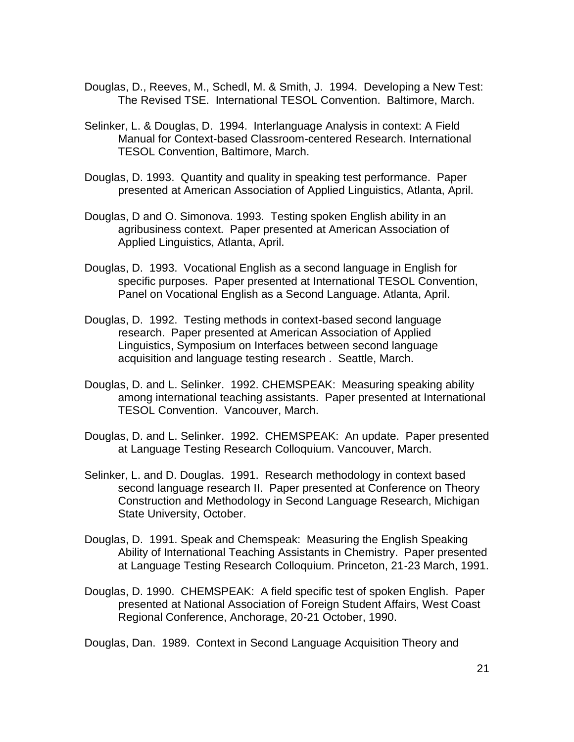- Douglas, D., Reeves, M., Schedl, M. & Smith, J. 1994. Developing a New Test: The Revised TSE. International TESOL Convention. Baltimore, March.
- Selinker, L. & Douglas, D. 1994. Interlanguage Analysis in context: A Field Manual for Context-based Classroom-centered Research. International TESOL Convention, Baltimore, March.
- Douglas, D. 1993. Quantity and quality in speaking test performance. Paper presented at American Association of Applied Linguistics, Atlanta, April.
- Douglas, D and O. Simonova. 1993. Testing spoken English ability in an agribusiness context. Paper presented at American Association of Applied Linguistics, Atlanta, April.
- Douglas, D. 1993. Vocational English as a second language in English for specific purposes. Paper presented at International TESOL Convention, Panel on Vocational English as a Second Language. Atlanta, April.
- Douglas, D. 1992. Testing methods in context-based second language research. Paper presented at American Association of Applied Linguistics, Symposium on Interfaces between second language acquisition and language testing research . Seattle, March.
- Douglas, D. and L. Selinker. 1992. CHEMSPEAK: Measuring speaking ability among international teaching assistants. Paper presented at International TESOL Convention. Vancouver, March.
- Douglas, D. and L. Selinker. 1992. CHEMSPEAK: An update. Paper presented at Language Testing Research Colloquium. Vancouver, March.
- Selinker, L. and D. Douglas. 1991. Research methodology in context based second language research II. Paper presented at Conference on Theory Construction and Methodology in Second Language Research, Michigan State University, October.
- Douglas, D. 1991. Speak and Chemspeak: Measuring the English Speaking Ability of International Teaching Assistants in Chemistry. Paper presented at Language Testing Research Colloquium. Princeton, 21-23 March, 1991.
- Douglas, D. 1990. CHEMSPEAK: A field specific test of spoken English. Paper presented at National Association of Foreign Student Affairs, West Coast Regional Conference, Anchorage, 20-21 October, 1990.

Douglas, Dan. 1989. Context in Second Language Acquisition Theory and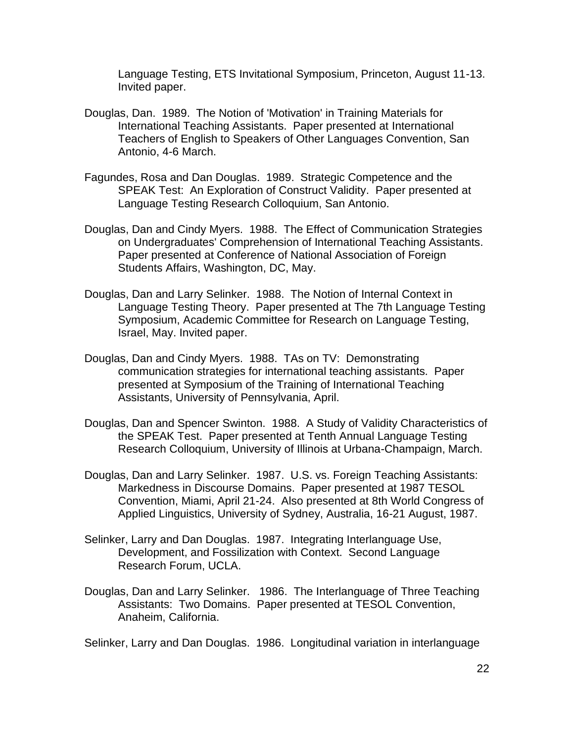Language Testing, ETS Invitational Symposium, Princeton, August 11-13. Invited paper.

- Douglas, Dan. 1989. The Notion of 'Motivation' in Training Materials for International Teaching Assistants. Paper presented at International Teachers of English to Speakers of Other Languages Convention, San Antonio, 4-6 March.
- Fagundes, Rosa and Dan Douglas. 1989. Strategic Competence and the SPEAK Test: An Exploration of Construct Validity. Paper presented at Language Testing Research Colloquium, San Antonio.
- Douglas, Dan and Cindy Myers. 1988. The Effect of Communication Strategies on Undergraduates' Comprehension of International Teaching Assistants. Paper presented at Conference of National Association of Foreign Students Affairs, Washington, DC, May.
- Douglas, Dan and Larry Selinker. 1988. The Notion of Internal Context in Language Testing Theory. Paper presented at The 7th Language Testing Symposium, Academic Committee for Research on Language Testing, Israel, May. Invited paper.
- Douglas, Dan and Cindy Myers. 1988. TAs on TV: Demonstrating communication strategies for international teaching assistants. Paper presented at Symposium of the Training of International Teaching Assistants, University of Pennsylvania, April.
- Douglas, Dan and Spencer Swinton. 1988. A Study of Validity Characteristics of the SPEAK Test. Paper presented at Tenth Annual Language Testing Research Colloquium, University of Illinois at Urbana-Champaign, March.
- Douglas, Dan and Larry Selinker. 1987. U.S. vs. Foreign Teaching Assistants: Markedness in Discourse Domains. Paper presented at 1987 TESOL Convention, Miami, April 21-24. Also presented at 8th World Congress of Applied Linguistics, University of Sydney, Australia, 16-21 August, 1987.
- Selinker, Larry and Dan Douglas. 1987. Integrating Interlanguage Use, Development, and Fossilization with Context. Second Language Research Forum, UCLA.
- Douglas, Dan and Larry Selinker. 1986. The Interlanguage of Three Teaching Assistants: Two Domains. Paper presented at TESOL Convention, Anaheim, California.

Selinker, Larry and Dan Douglas. 1986. Longitudinal variation in interlanguage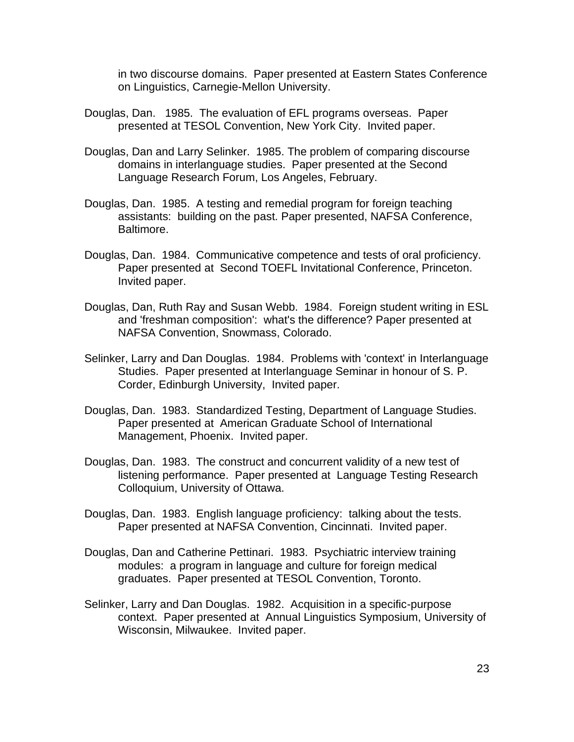in two discourse domains. Paper presented at Eastern States Conference on Linguistics, Carnegie-Mellon University.

- Douglas, Dan. 1985. The evaluation of EFL programs overseas. Paper presented at TESOL Convention, New York City. Invited paper.
- Douglas, Dan and Larry Selinker. 1985. The problem of comparing discourse domains in interlanguage studies. Paper presented at the Second Language Research Forum, Los Angeles, February.
- Douglas, Dan. 1985. A testing and remedial program for foreign teaching assistants: building on the past. Paper presented, NAFSA Conference, Baltimore.
- Douglas, Dan. 1984. Communicative competence and tests of oral proficiency. Paper presented at Second TOEFL Invitational Conference, Princeton. Invited paper.
- Douglas, Dan, Ruth Ray and Susan Webb. 1984. Foreign student writing in ESL and 'freshman composition': what's the difference? Paper presented at NAFSA Convention, Snowmass, Colorado.
- Selinker, Larry and Dan Douglas. 1984. Problems with 'context' in Interlanguage Studies. Paper presented at Interlanguage Seminar in honour of S. P. Corder, Edinburgh University, Invited paper.
- Douglas, Dan. 1983. Standardized Testing, Department of Language Studies. Paper presented at American Graduate School of International Management, Phoenix. Invited paper.
- Douglas, Dan. 1983. The construct and concurrent validity of a new test of listening performance. Paper presented at Language Testing Research Colloquium, University of Ottawa.
- Douglas, Dan. 1983. English language proficiency: talking about the tests. Paper presented at NAFSA Convention, Cincinnati. Invited paper.
- Douglas, Dan and Catherine Pettinari. 1983. Psychiatric interview training modules: a program in language and culture for foreign medical graduates. Paper presented at TESOL Convention, Toronto.
- Selinker, Larry and Dan Douglas. 1982. Acquisition in a specific-purpose context. Paper presented at Annual Linguistics Symposium, University of Wisconsin, Milwaukee. Invited paper.